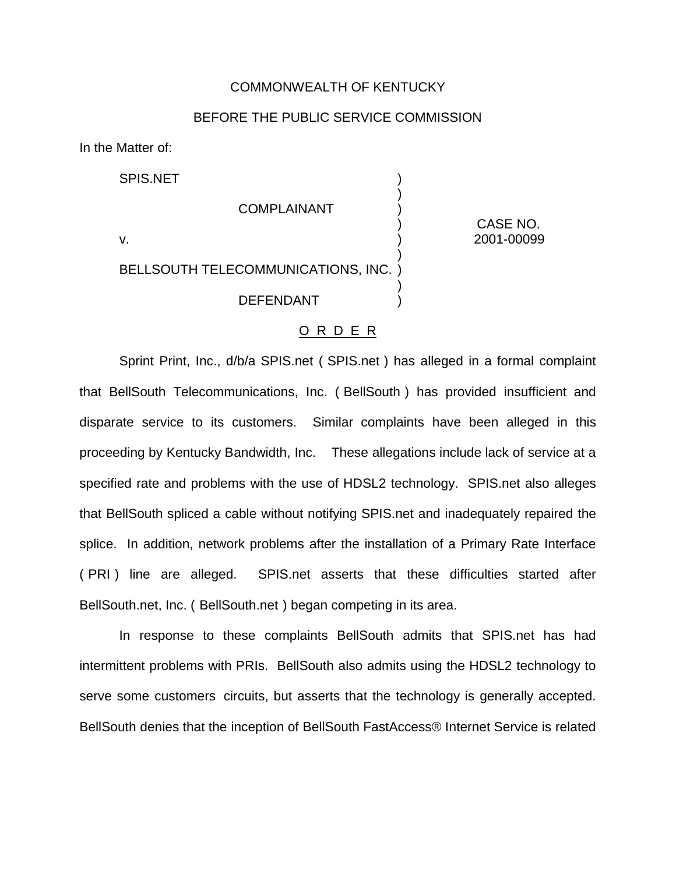#### COMMONWEALTH OF KENTUCKY

## BEFORE THE PUBLIC SERVICE COMMISSION

)

)

)

In the Matter of:

SPIS.NET

## **COMPLAINANT**

) CASE NO. v. ) 2001-00099

# BELLSOUTH TELECOMMUNICATIONS, INC. )

**DEFENDANT** 

#### O R D E R

Sprint Print, Inc., d/b/a SPIS.net ( SPIS.net ) has alleged in a formal complaint that BellSouth Telecommunications, Inc. ( BellSouth ) has provided insufficient and disparate service to its customers. Similar complaints have been alleged in this proceeding by Kentucky Bandwidth, Inc. These allegations include lack of service at a specified rate and problems with the use of HDSL2 technology. SPIS.net also alleges that BellSouth spliced a cable without notifying SPIS.net and inadequately repaired the splice. In addition, network problems after the installation of a Primary Rate Interface ( PRI) line are alleged. SPIS.net asserts that these difficulties started after BellSouth.net, Inc. ( BellSouth.net ) began competing in its area.

In response to these complaints BellSouth admits that SPIS.net has had intermittent problems with PRIs. BellSouth also admits using the HDSL2 technology to serve some customers circuits, but asserts that the technology is generally accepted. BellSouth denies that the inception of BellSouth FastAccess® Internet Service is related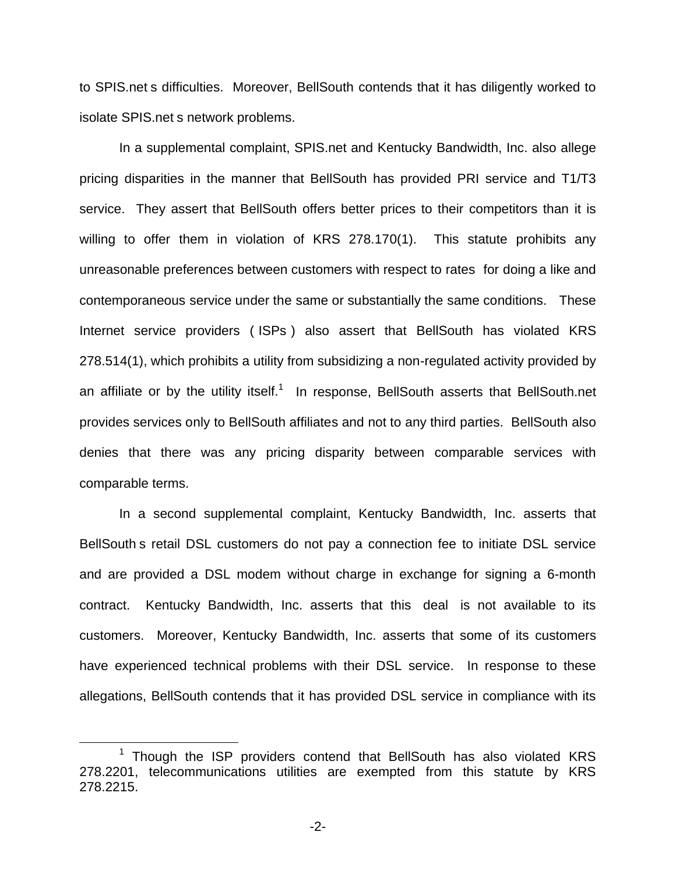to SPIS.net s difficulties. Moreover, BellSouth contends that it has diligently worked to isolate SPIS.net s network problems.

In a supplemental complaint, SPIS.net and Kentucky Bandwidth, Inc. also allege pricing disparities in the manner that BellSouth has provided PRI service and T1/T3 service. They assert that BellSouth offers better prices to their competitors than it is willing to offer them in violation of KRS 278.170(1). This statute prohibits any unreasonable preferences between customers with respect to rates for doing a like and contemporaneous service under the same or substantially the same conditions. These Internet service providers ( ISPs ) also assert that BellSouth has violated KRS 278.514(1), which prohibits a utility from subsidizing a non-regulated activity provided by an affiliate or by the utility itself.<sup>1</sup> In response, BellSouth asserts that BellSouth.net provides services only to BellSouth affiliates and not to any third parties. BellSouth also denies that there was any pricing disparity between comparable services with comparable terms.

In a second supplemental complaint, Kentucky Bandwidth, Inc. asserts that BellSouth s retail DSL customers do not pay a connection fee to initiate DSL service and are provided a DSL modem without charge in exchange for signing a 6-month contract. Kentucky Bandwidth, Inc. asserts that this deal is not available to its customers. Moreover, Kentucky Bandwidth, Inc. asserts that some of its customers have experienced technical problems with their DSL service. In response to these allegations, BellSouth contends that it has provided DSL service in compliance with its

<sup>&</sup>lt;sup>1</sup> Though the ISP providers contend that BellSouth has also violated KRS 278.2201, telecommunications utilities are exempted from this statute by KRS 278.2215.